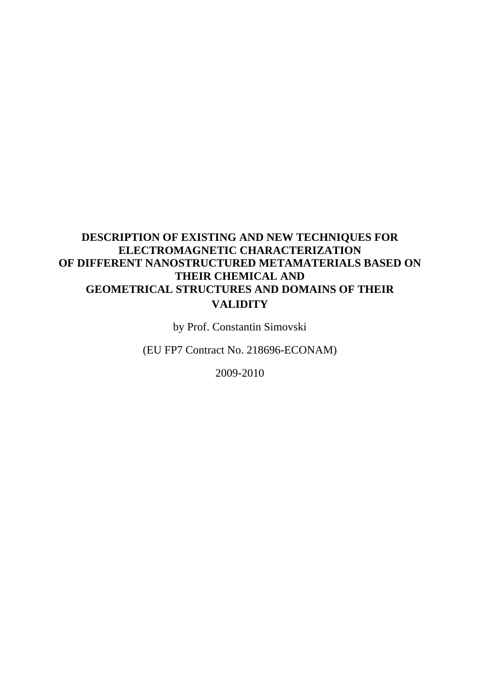### **DESCRIPTION OF EXISTING AND NEW TECHNIQUES FOR ELECTROMAGNETIC CHARACTERIZATION OF DIFFERENT NANOSTRUCTURED METAMATERIALS BASED ON THEIR CHEMICAL AND GEOMETRICAL STRUCTURES AND DOMAINS OF THEIR VALIDITY**

by Prof. Constantin Simovski

(EU FP7 Contract No. 218696-ECONAM)

2009-2010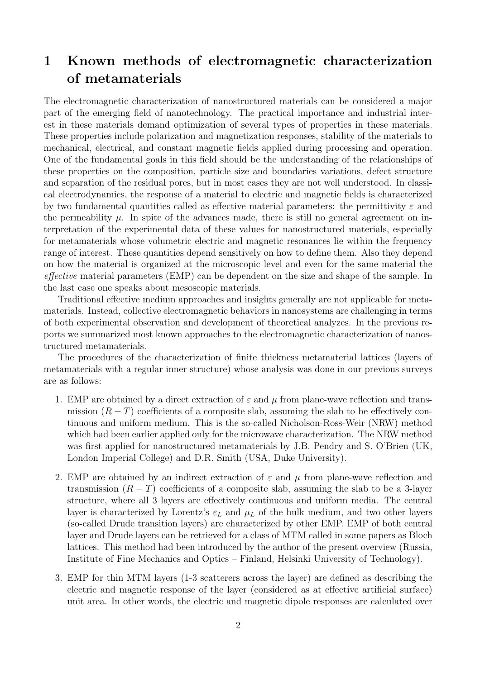## 1 Known methods of electromagnetic characterization of metamaterials

The electromagnetic characterization of nanostructured materials can be considered a major part of the emerging field of nanotechnology. The practical importance and industrial interest in these materials demand optimization of several types of properties in these materials. These properties include polarization and magnetization responses, stability of the materials to mechanical, electrical, and constant magnetic fields applied during processing and operation. One of the fundamental goals in this field should be the understanding of the relationships of these properties on the composition, particle size and boundaries variations, defect structure and separation of the residual pores, but in most cases they are not well understood. In classical electrodynamics, the response of a material to electric and magnetic fields is characterized by two fundamental quantities called as effective material parameters: the permittivity  $\varepsilon$  and the permeability  $\mu$ . In spite of the advances made, there is still no general agreement on interpretation of the experimental data of these values for nanostructured materials, especially for metamaterials whose volumetric electric and magnetic resonances lie within the frequency range of interest. These quantities depend sensitively on how to define them. Also they depend on how the material is organized at the microscopic level and even for the same material the effective material parameters (EMP) can be dependent on the size and shape of the sample. In the last case one speaks about mesoscopic materials.

Traditional effective medium approaches and insights generally are not applicable for metamaterials. Instead, collective electromagnetic behaviors in nanosystems are challenging in terms of both experimental observation and development of theoretical analyzes. In the previous reports we summarized most known approaches to the electromagnetic characterization of nanostructured metamaterials.

The procedures of the characterization of finite thickness metamaterial lattices (layers of metamaterials with a regular inner structure) whose analysis was done in our previous surveys are as follows:

- 1. EMP are obtained by a direct extraction of  $\varepsilon$  and  $\mu$  from plane-wave reflection and transmission  $(R - T)$  coefficients of a composite slab, assuming the slab to be effectively continuous and uniform medium. This is the so-called Nicholson-Ross-Weir (NRW) method which had been earlier applied only for the microwave characterization. The NRW method was first applied for nanostructured metamaterials by J.B. Pendry and S. O'Brien (UK, London Imperial College) and D.R. Smith (USA, Duke University).
- 2. EMP are obtained by an indirect extraction of  $\varepsilon$  and  $\mu$  from plane-wave reflection and transmission  $(R - T)$  coefficients of a composite slab, assuming the slab to be a 3-layer structure, where all 3 layers are effectively continuous and uniform media. The central layer is characterized by Lorentz's  $\varepsilon_L$  and  $\mu_L$  of the bulk medium, and two other layers (so-called Drude transition layers) are characterized by other EMP. EMP of both central layer and Drude layers can be retrieved for a class of MTM called in some papers as Bloch lattices. This method had been introduced by the author of the present overview (Russia, Institute of Fine Mechanics and Optics – Finland, Helsinki University of Technology).
- 3. EMP for thin MTM layers (1-3 scatterers across the layer) are defined as describing the electric and magnetic response of the layer (considered as at effective artificial surface) unit area. In other words, the electric and magnetic dipole responses are calculated over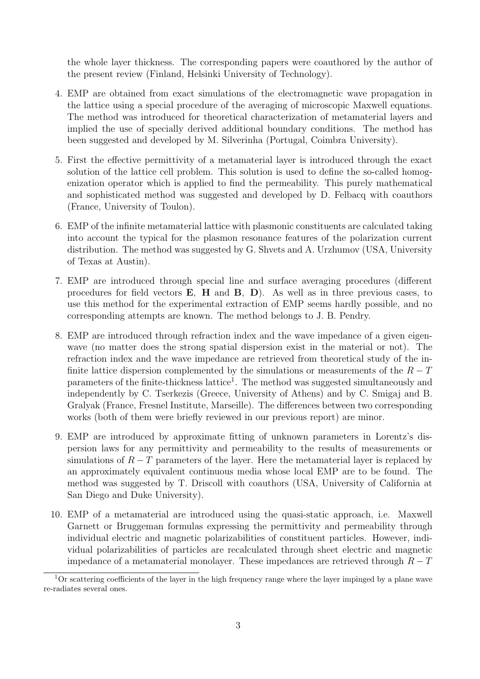the whole layer thickness. The corresponding papers were coauthored by the author of the present review (Finland, Helsinki University of Technology).

- 4. EMP are obtained from exact simulations of the electromagnetic wave propagation in the lattice using a special procedure of the averaging of microscopic Maxwell equations. The method was introduced for theoretical characterization of metamaterial layers and implied the use of specially derived additional boundary conditions. The method has been suggested and developed by M. Silverinha (Portugal, Coimbra University).
- 5. First the effective permittivity of a metamaterial layer is introduced through the exact solution of the lattice cell problem. This solution is used to define the so-called homogenization operator which is applied to find the permeability. This purely mathematical and sophisticated method was suggested and developed by D. Felbacq with coauthors (France, University of Toulon).
- 6. EMP of the infinite metamaterial lattice with plasmonic constituents are calculated taking into account the typical for the plasmon resonance features of the polarization current distribution. The method was suggested by G. Shvets and A. Urzhumov (USA, University of Texas at Austin).
- 7. EMP are introduced through special line and surface averaging procedures (different procedures for field vectors  $\mathbf{E}$ ,  $\mathbf{H}$  and  $\mathbf{B}$ ,  $\mathbf{D}$ ). As well as in three previous cases, to use this method for the experimental extraction of EMP seems hardly possible, and no corresponding attempts are known. The method belongs to J. B. Pendry.
- 8. EMP are introduced through refraction index and the wave impedance of a given eigenwave (no matter does the strong spatial dispersion exist in the material or not). The refraction index and the wave impedance are retrieved from theoretical study of the infinite lattice dispersion complemented by the simulations or measurements of the  $R - T$ parameters of the finite-thickness lattice<sup>1</sup>. The method was suggested simultaneously and independently by C. Tserkezis (Greece, University of Athens) and by C. Smigaj and B. Gralyak (France, Fresnel Institute, Marseille). The differences between two corresponding works (both of them were briefly reviewed in our previous report) are minor.
- 9. EMP are introduced by approximate fitting of unknown parameters in Lorentz's dispersion laws for any permittivity and permeability to the results of measurements or simulations of  $R - T$  parameters of the layer. Here the metamaterial layer is replaced by an approximately equivalent continuous media whose local EMP are to be found. The method was suggested by T. Driscoll with coauthors (USA, University of California at San Diego and Duke University).
- 10. EMP of a metamaterial are introduced using the quasi-static approach, i.e. Maxwell Garnett or Bruggeman formulas expressing the permittivity and permeability through individual electric and magnetic polarizabilities of constituent particles. However, individual polarizabilities of particles are recalculated through sheet electric and magnetic impedance of a metamaterial monolayer. These impedances are retrieved through  $R-T$

<sup>1</sup>Or scattering coefficients of the layer in the high frequency range where the layer impinged by a plane wave re-radiates several ones.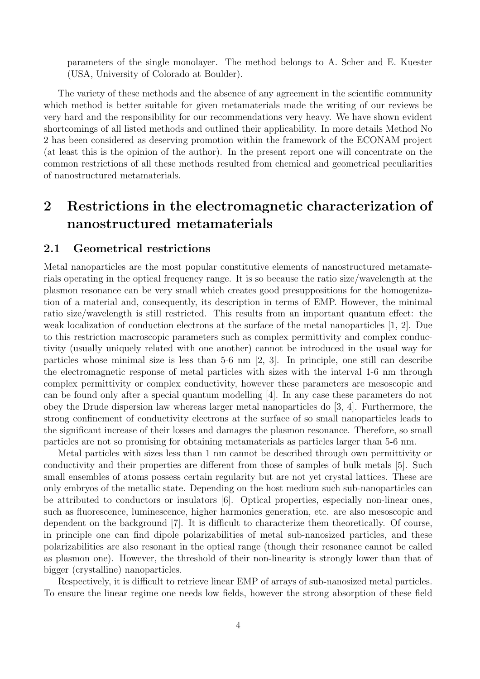parameters of the single monolayer. The method belongs to A. Scher and E. Kuester (USA, University of Colorado at Boulder).

The variety of these methods and the absence of any agreement in the scientific community which method is better suitable for given metamaterials made the writing of our reviews be very hard and the responsibility for our recommendations very heavy. We have shown evident shortcomings of all listed methods and outlined their applicability. In more details Method No 2 has been considered as deserving promotion within the framework of the ECONAM project (at least this is the opinion of the author). In the present report one will concentrate on the common restrictions of all these methods resulted from chemical and geometrical peculiarities of nanostructured metamaterials.

# 2 Restrictions in the electromagnetic characterization of nanostructured metamaterials

#### 2.1 Geometrical restrictions

Metal nanoparticles are the most popular constitutive elements of nanostructured metamaterials operating in the optical frequency range. It is so because the ratio size/wavelength at the plasmon resonance can be very small which creates good presuppositions for the homogenization of a material and, consequently, its description in terms of EMP. However, the minimal ratio size/wavelength is still restricted. This results from an important quantum effect: the weak localization of conduction electrons at the surface of the metal nanoparticles [1, 2]. Due to this restriction macroscopic parameters such as complex permittivity and complex conductivity (usually uniquely related with one another) cannot be introduced in the usual way for particles whose minimal size is less than 5-6 nm [2, 3]. In principle, one still can describe the electromagnetic response of metal particles with sizes with the interval 1-6 nm through complex permittivity or complex conductivity, however these parameters are mesoscopic and can be found only after a special quantum modelling [4]. In any case these parameters do not obey the Drude dispersion law whereas larger metal nanoparticles do [3, 4]. Furthermore, the strong confinement of conductivity electrons at the surface of so small nanoparticles leads to the significant increase of their losses and damages the plasmon resonance. Therefore, so small particles are not so promising for obtaining metamaterials as particles larger than 5-6 nm.

Metal particles with sizes less than 1 nm cannot be described through own permittivity or conductivity and their properties are different from those of samples of bulk metals [5]. Such small ensembles of atoms possess certain regularity but are not yet crystal lattices. These are only embryos of the metallic state. Depending on the host medium such sub-nanoparticles can be attributed to conductors or insulators [6]. Optical properties, especially non-linear ones, such as fluorescence, luminescence, higher harmonics generation, etc. are also mesoscopic and dependent on the background [7]. It is difficult to characterize them theoretically. Of course, in principle one can find dipole polarizabilities of metal sub-nanosized particles, and these polarizabilities are also resonant in the optical range (though their resonance cannot be called as plasmon one). However, the threshold of their non-linearity is strongly lower than that of bigger (crystalline) nanoparticles.

Respectively, it is difficult to retrieve linear EMP of arrays of sub-nanosized metal particles. To ensure the linear regime one needs low fields, however the strong absorption of these field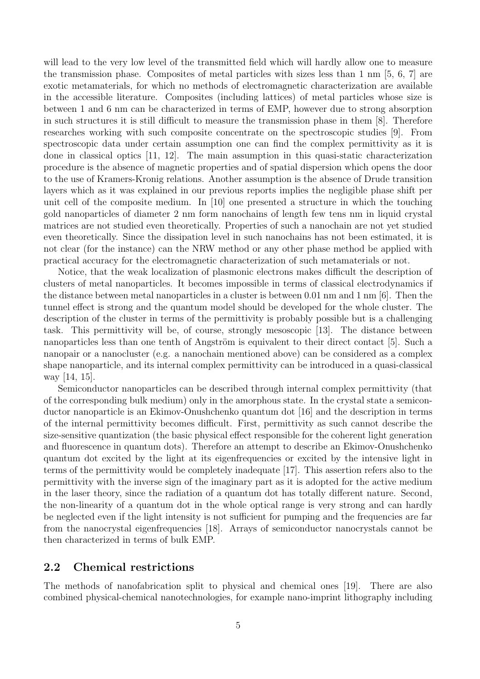will lead to the very low level of the transmitted field which will hardly allow one to measure the transmission phase. Composites of metal particles with sizes less than 1 nm [5, 6, 7] are exotic metamaterials, for which no methods of electromagnetic characterization are available in the accessible literature. Composites (including lattices) of metal particles whose size is between 1 and 6 nm can be characterized in terms of EMP, however due to strong absorption in such structures it is still difficult to measure the transmission phase in them [8]. Therefore researches working with such composite concentrate on the spectroscopic studies [9]. From spectroscopic data under certain assumption one can find the complex permittivity as it is done in classical optics [11, 12]. The main assumption in this quasi-static characterization procedure is the absence of magnetic properties and of spatial dispersion which opens the door to the use of Kramers-Kronig relations. Another assumption is the absence of Drude transition layers which as it was explained in our previous reports implies the negligible phase shift per unit cell of the composite medium. In [10] one presented a structure in which the touching gold nanoparticles of diameter 2 nm form nanochains of length few tens nm in liquid crystal matrices are not studied even theoretically. Properties of such a nanochain are not yet studied even theoretically. Since the dissipation level in such nanochains has not been estimated, it is not clear (for the instance) can the NRW method or any other phase method be applied with practical accuracy for the electromagnetic characterization of such metamaterials or not.

Notice, that the weak localization of plasmonic electrons makes difficult the description of clusters of metal nanoparticles. It becomes impossible in terms of classical electrodynamics if the distance between metal nanoparticles in a cluster is between 0.01 nm and 1 nm [6]. Then the tunnel effect is strong and the quantum model should be developed for the whole cluster. The description of the cluster in terms of the permittivity is probably possible but is a challenging task. This permittivity will be, of course, strongly mesoscopic [13]. The distance between nanoparticles less than one tenth of Angström is equivalent to their direct contact [5]. Such a nanopair or a nanocluster (e.g. a nanochain mentioned above) can be considered as a complex shape nanoparticle, and its internal complex permittivity can be introduced in a quasi-classical way [14, 15].

Semiconductor nanoparticles can be described through internal complex permittivity (that of the corresponding bulk medium) only in the amorphous state. In the crystal state a semiconductor nanoparticle is an Ekimov-Onushchenko quantum dot [16] and the description in terms of the internal permittivity becomes difficult. First, permittivity as such cannot describe the size-sensitive quantization (the basic physical effect responsible for the coherent light generation and fluorescence in quantum dots). Therefore an attempt to describe an Ekimov-Onushchenko quantum dot excited by the light at its eigenfrequencies or excited by the intensive light in terms of the permittivity would be completely inadequate [17]. This assertion refers also to the permittivity with the inverse sign of the imaginary part as it is adopted for the active medium in the laser theory, since the radiation of a quantum dot has totally different nature. Second, the non-linearity of a quantum dot in the whole optical range is very strong and can hardly be neglected even if the light intensity is not sufficient for pumping and the frequencies are far from the nanocrystal eigenfrequencies [18]. Arrays of semiconductor nanocrystals cannot be then characterized in terms of bulk EMP.

#### 2.2 Chemical restrictions

The methods of nanofabrication split to physical and chemical ones [19]. There are also combined physical-chemical nanotechnologies, for example nano-imprint lithography including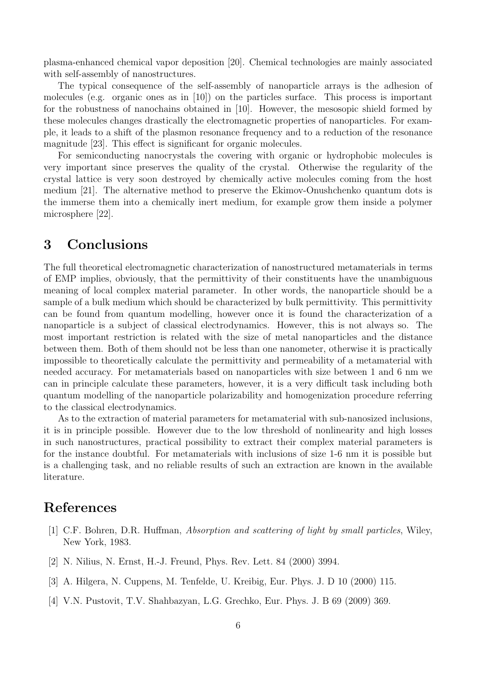plasma-enhanced chemical vapor deposition [20]. Chemical technologies are mainly associated with self-assembly of nanostructures.

The typical consequence of the self-assembly of nanoparticle arrays is the adhesion of molecules (e.g. organic ones as in [10]) on the particles surface. This process is important for the robustness of nanochains obtained in [10]. However, the mesosopic shield formed by these molecules changes drastically the electromagnetic properties of nanoparticles. For example, it leads to a shift of the plasmon resonance frequency and to a reduction of the resonance magnitude [23]. This effect is significant for organic molecules.

For semiconducting nanocrystals the covering with organic or hydrophobic molecules is very important since preserves the quality of the crystal. Otherwise the regularity of the crystal lattice is very soon destroyed by chemically active molecules coming from the host medium [21]. The alternative method to preserve the Ekimov-Onushchenko quantum dots is the immerse them into a chemically inert medium, for example grow them inside a polymer microsphere [22].

## 3 Conclusions

The full theoretical electromagnetic characterization of nanostructured metamaterials in terms of EMP implies, obviously, that the permittivity of their constituents have the unambiguous meaning of local complex material parameter. In other words, the nanoparticle should be a sample of a bulk medium which should be characterized by bulk permittivity. This permittivity can be found from quantum modelling, however once it is found the characterization of a nanoparticle is a subject of classical electrodynamics. However, this is not always so. The most important restriction is related with the size of metal nanoparticles and the distance between them. Both of them should not be less than one nanometer, otherwise it is practically impossible to theoretically calculate the permittivity and permeability of a metamaterial with needed accuracy. For metamaterials based on nanoparticles with size between 1 and 6 nm we can in principle calculate these parameters, however, it is a very difficult task including both quantum modelling of the nanoparticle polarizability and homogenization procedure referring to the classical electrodynamics.

As to the extraction of material parameters for metamaterial with sub-nanosized inclusions, it is in principle possible. However due to the low threshold of nonlinearity and high losses in such nanostructures, practical possibility to extract their complex material parameters is for the instance doubtful. For metamaterials with inclusions of size 1-6 nm it is possible but is a challenging task, and no reliable results of such an extraction are known in the available literature.

### References

- [1] C.F. Bohren, D.R. Huffman, Absorption and scattering of light by small particles, Wiley, New York, 1983.
- [2] N. Nilius, N. Ernst, H.-J. Freund, Phys. Rev. Lett. 84 (2000) 3994.
- [3] A. Hilgera, N. Cuppens, M. Tenfelde, U. Kreibig, Eur. Phys. J. D 10 (2000) 115.
- [4] V.N. Pustovit, T.V. Shahbazyan, L.G. Grechko, Eur. Phys. J. B 69 (2009) 369.